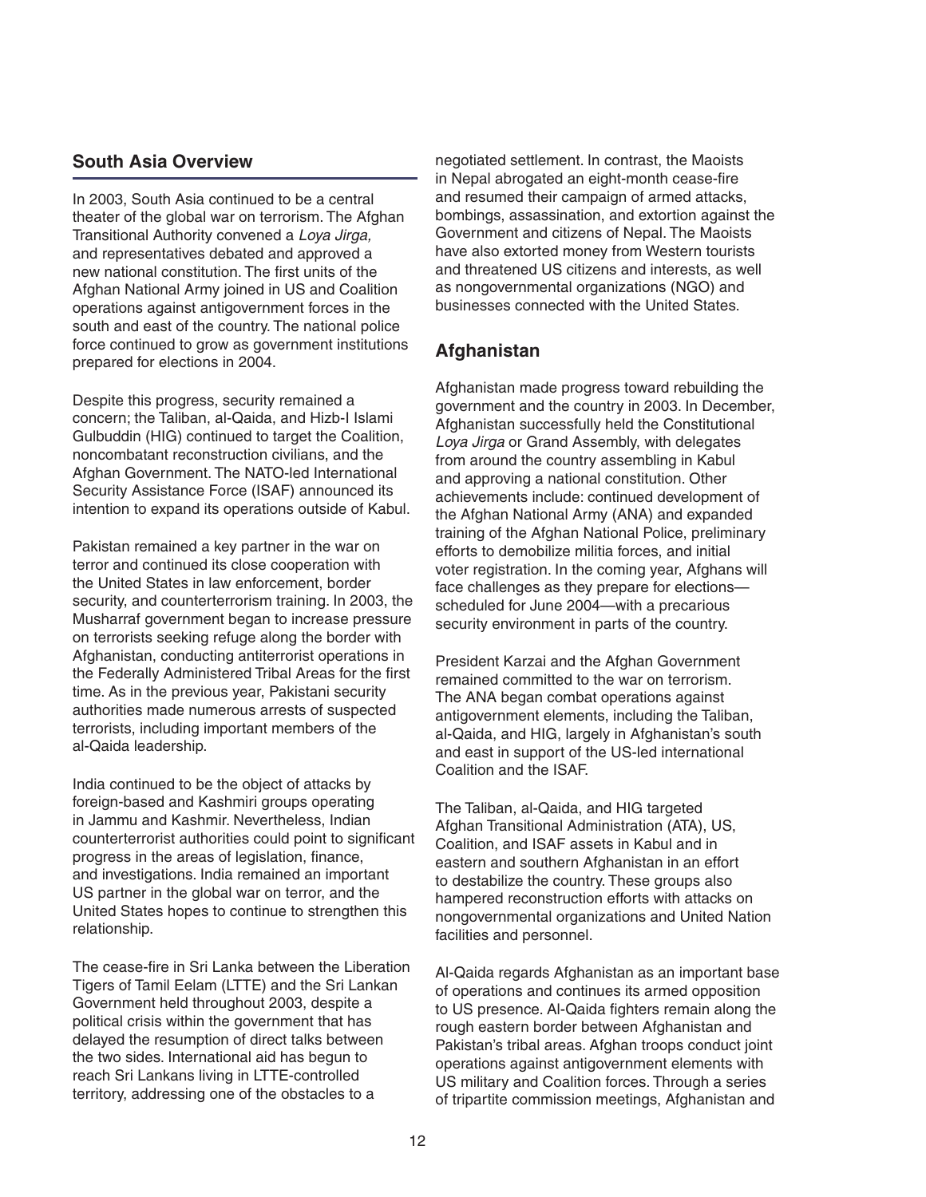## **South Asia Overview**

In 2003, South Asia continued to be a central theater of the global war on terrorism. The Afghan Transitional Authority convened a Loya Jirga, and representatives debated and approved a new national constitution. The first units of the Afghan National Army joined in US and Coalition operations against antigovernment forces in the south and east of the country. The national police force continued to grow as government institutions prepared for elections in 2004.

Despite this progress, security remained a concern; the Taliban, al-Qaida, and Hizb-I Islami Gulbuddin (HIG) continued to target the Coalition, noncombatant reconstruction civilians, and the Afghan Government. The NATO-led International Security Assistance Force (ISAF) announced its intention to expand its operations outside of Kabul.

Pakistan remained a key partner in the war on terror and continued its close cooperation with the United States in law enforcement, border security, and counterterrorism training. In 2003, the Musharraf government began to increase pressure on terrorists seeking refuge along the border with Afghanistan, conducting antiterrorist operations in the Federally Administered Tribal Areas for the first time. As in the previous year, Pakistani security authorities made numerous arrests of suspected terrorists, including important members of the al-Qaida leadership.

India continued to be the object of attacks by foreign-based and Kashmiri groups operating in Jammu and Kashmir. Nevertheless, Indian counterterrorist authorities could point to significant progress in the areas of legislation, finance, and investigations. India remained an important US partner in the global war on terror, and the United States hopes to continue to strengthen this relationship.

The cease-fire in Sri Lanka between the Liberation Tigers of Tamil Eelam (LTTE) and the Sri Lankan Government held throughout 2003, despite a political crisis within the government that has delayed the resumption of direct talks between the two sides. International aid has begun to reach Sri Lankans living in LTTE-controlled territory, addressing one of the obstacles to a

negotiated settlement. In contrast, the Maoists in Nepal abrogated an eight-month cease-fire and resumed their campaign of armed attacks, bombings, assassination, and extortion against the Government and citizens of Nepal. The Maoists have also extorted money from Western tourists and threatened US citizens and interests, as well as nongovernmental organizations (NGO) and businesses connected with the United States.

#### **Afghanistan**

Afghanistan made progress toward rebuilding the government and the country in 2003. In December, Afghanistan successfully held the Constitutional Loya Jirga or Grand Assembly, with delegates from around the country assembling in Kabul and approving a national constitution. Other achievements include: continued development of the Afghan National Army (ANA) and expanded training of the Afghan National Police, preliminary efforts to demobilize militia forces, and initial voter registration. In the coming year, Afghans will face challenges as they prepare for elections scheduled for June 2004—with a precarious security environment in parts of the country.

President Karzai and the Afghan Government remained committed to the war on terrorism. The ANA began combat operations against antigovernment elements, including the Taliban, al-Qaida, and HIG, largely in Afghanistan's south and east in support of the US-led international Coalition and the ISAF.

The Taliban, al-Qaida, and HIG targeted Afghan Transitional Administration (ATA), US, Coalition, and ISAF assets in Kabul and in eastern and southern Afghanistan in an effort to destabilize the country. These groups also hampered reconstruction efforts with attacks on nongovernmental organizations and United Nation facilities and personnel.

Al-Qaida regards Afghanistan as an important base of operations and continues its armed opposition to US presence. Al-Qaida fighters remain along the rough eastern border between Afghanistan and Pakistan's tribal areas. Afghan troops conduct joint operations against antigovernment elements with US military and Coalition forces. Through a series of tripartite commission meetings, Afghanistan and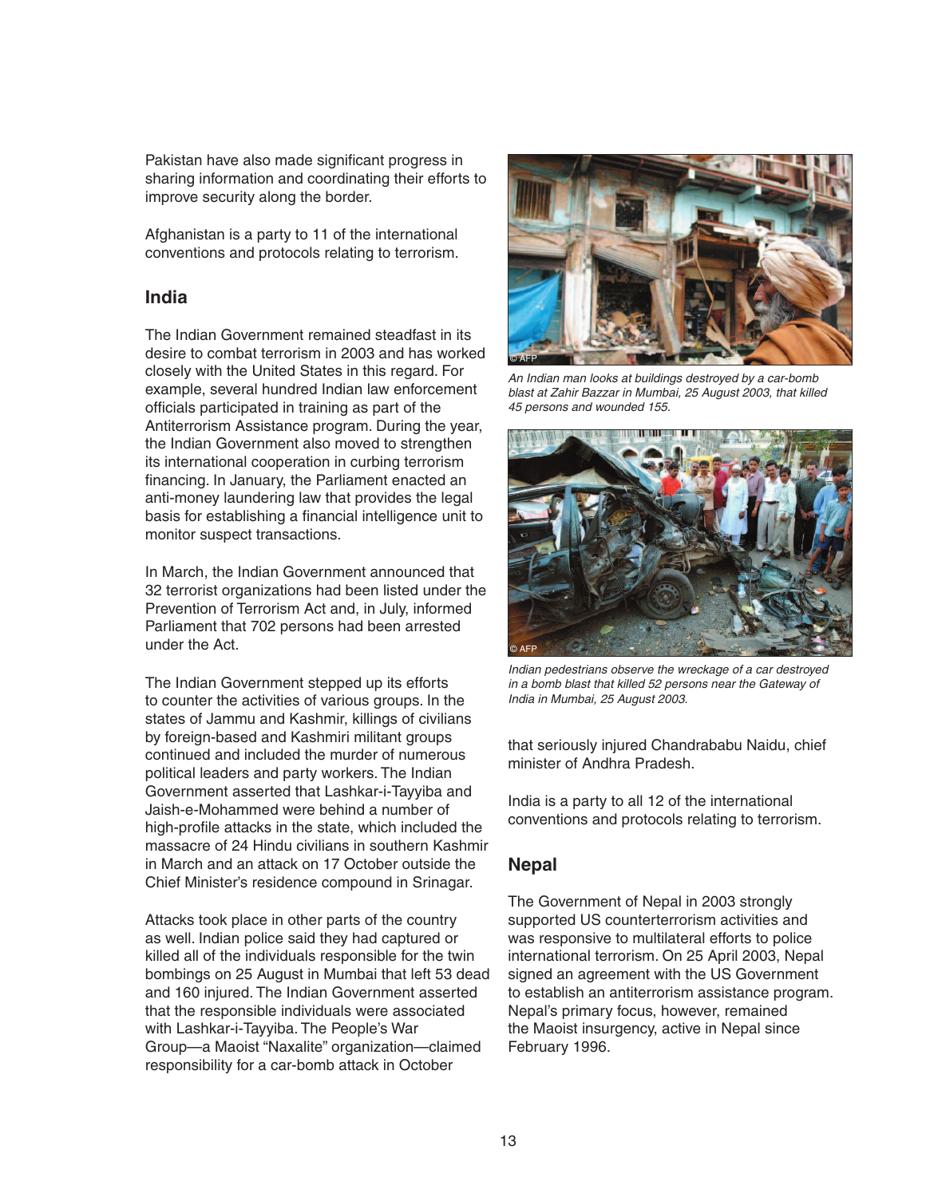Pakistan have also made significant progress in sharing information and coordinating their efforts to improve security along the border.

Afghanistan is a party to 11 of the international conventions and protocols relating to terrorism.

#### **India**

The Indian Government remained steadfast in its desire to combat terrorism in 2003 and has worked closely with the United States in this regard. For example, several hundred Indian law enforcement officials participated in training as part of the Antiterrorism Assistance program. During the year, the Indian Government also moved to strengthen its international cooperation in curbing terrorism financing. In January, the Parliament enacted an anti-money laundering law that provides the legal basis for establishing a financial intelligence unit to monitor suspect transactions.

In March, the Indian Government announced that 32 terrorist organizations had been listed under the Prevention of Terrorism Act and, in July, informed Parliament that 702 persons had been arrested under the Act.

The Indian Government stepped up its efforts to counter the activities of various groups. In the states of Jammu and Kashmir, killings of civilians by foreign-based and Kashmiri militant groups continued and included the murder of numerous political leaders and party workers. The Indian Government asserted that Lashkar-i-Tayyiba and Jaish-e-Mohammed were behind a number of high-profile attacks in the state, which included the massacre of 24 Hindu civilians in southern Kashmir in March and an attack on 17 October outside the Chief Minister's residence compound in Srinagar.

Attacks took place in other parts of the country as well. Indian police said they had captured or killed all of the individuals responsible for the twin bombings on 25 August in Mumbai that left 53 dead and 160 injured. The Indian Government asserted that the responsible individuals were associated with Lashkar-i-Tayyiba. The People's War Group—a Maoist "Naxalite" organization—claimed responsibility for a car-bomb attack in October



An Indian man looks at buildings destroyed by a car-bomb blast at Zahir Bazzar in Mumbai, 25 August 2003, that killed 45 persons and wounded 155.



Indian pedestrians observe the wreckage of a car destroyed in a bomb blast that killed 52 persons near the Gateway of India in Mumbai, 25 August 2003.

that seriously injured Chandrababu Naidu, chief minister of Andhra Pradesh.

India is a party to all 12 of the international conventions and protocols relating to terrorism.

### **Nepal**

The Government of Nepal in 2003 strongly supported US counterterrorism activities and was responsive to multilateral efforts to police international terrorism. On 25 April 2003, Nepal signed an agreement with the US Government to establish an antiterrorism assistance program. Nepal's primary focus, however, remained the Maoist insurgency, active in Nepal since February 1996.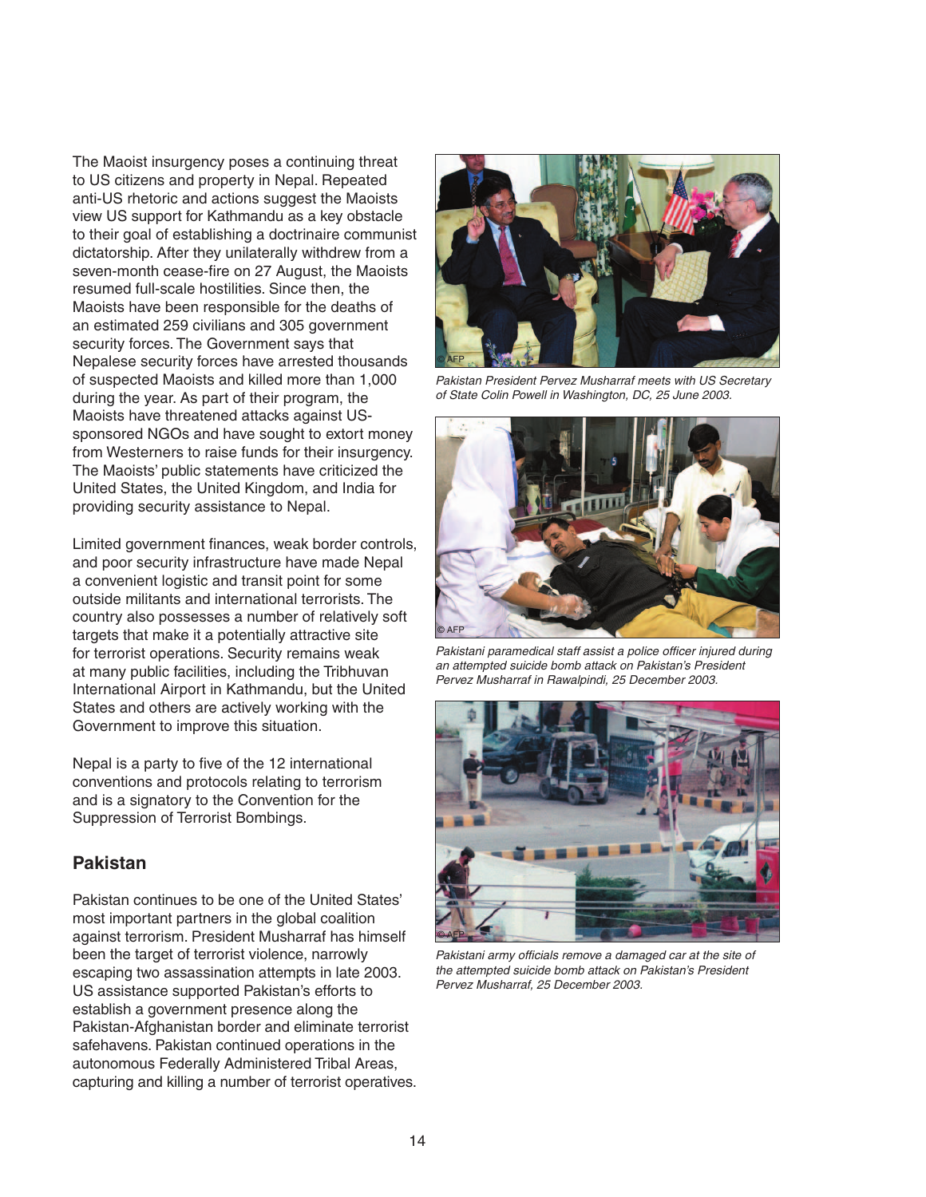The Maoist insurgency poses a continuing threat to US citizens and property in Nepal. Repeated anti-US rhetoric and actions suggest the Maoists view US support for Kathmandu as a key obstacle to their goal of establishing a doctrinaire communist dictatorship. After they unilaterally withdrew from a seven-month cease-fire on 27 August, the Maoists resumed full-scale hostilities. Since then, the Maoists have been responsible for the deaths of an estimated 259 civilians and 305 government security forces. The Government says that Nepalese security forces have arrested thousands of suspected Maoists and killed more than 1,000 during the year. As part of their program, the Maoists have threatened attacks against USsponsored NGOs and have sought to extort money from Westerners to raise funds for their insurgency. The Maoists' public statements have criticized the United States, the United Kingdom, and India for providing security assistance to Nepal.

Limited government finances, weak border controls, and poor security infrastructure have made Nepal a convenient logistic and transit point for some outside militants and international terrorists. The country also possesses a number of relatively soft targets that make it a potentially attractive site for terrorist operations. Security remains weak at many public facilities, including the Tribhuvan International Airport in Kathmandu, but the United States and others are actively working with the Government to improve this situation.

Nepal is a party to five of the 12 international conventions and protocols relating to terrorism and is a signatory to the Convention for the Suppression of Terrorist Bombings.

### **Pakistan**

Pakistan continues to be one of the United States' most important partners in the global coalition against terrorism. President Musharraf has himself been the target of terrorist violence, narrowly escaping two assassination attempts in late 2003. US assistance supported Pakistan's efforts to establish a government presence along the Pakistan-Afghanistan border and eliminate terrorist safehavens. Pakistan continued operations in the autonomous Federally Administered Tribal Areas, capturing and killing a number of terrorist operatives.



Pakistan President Pervez Musharraf meets with US Secretary of State Colin Powell in Washington, DC, 25 June 2003.



Pakistani paramedical staff assist a police officer injured during an attempted suicide bomb attack on Pakistan's President Pervez Musharraf in Rawalpindi, 25 December 2003.



Pakistani army officials remove a damaged car at the site of the attempted suicide bomb attack on Pakistan's President Pervez Musharraf, 25 December 2003.